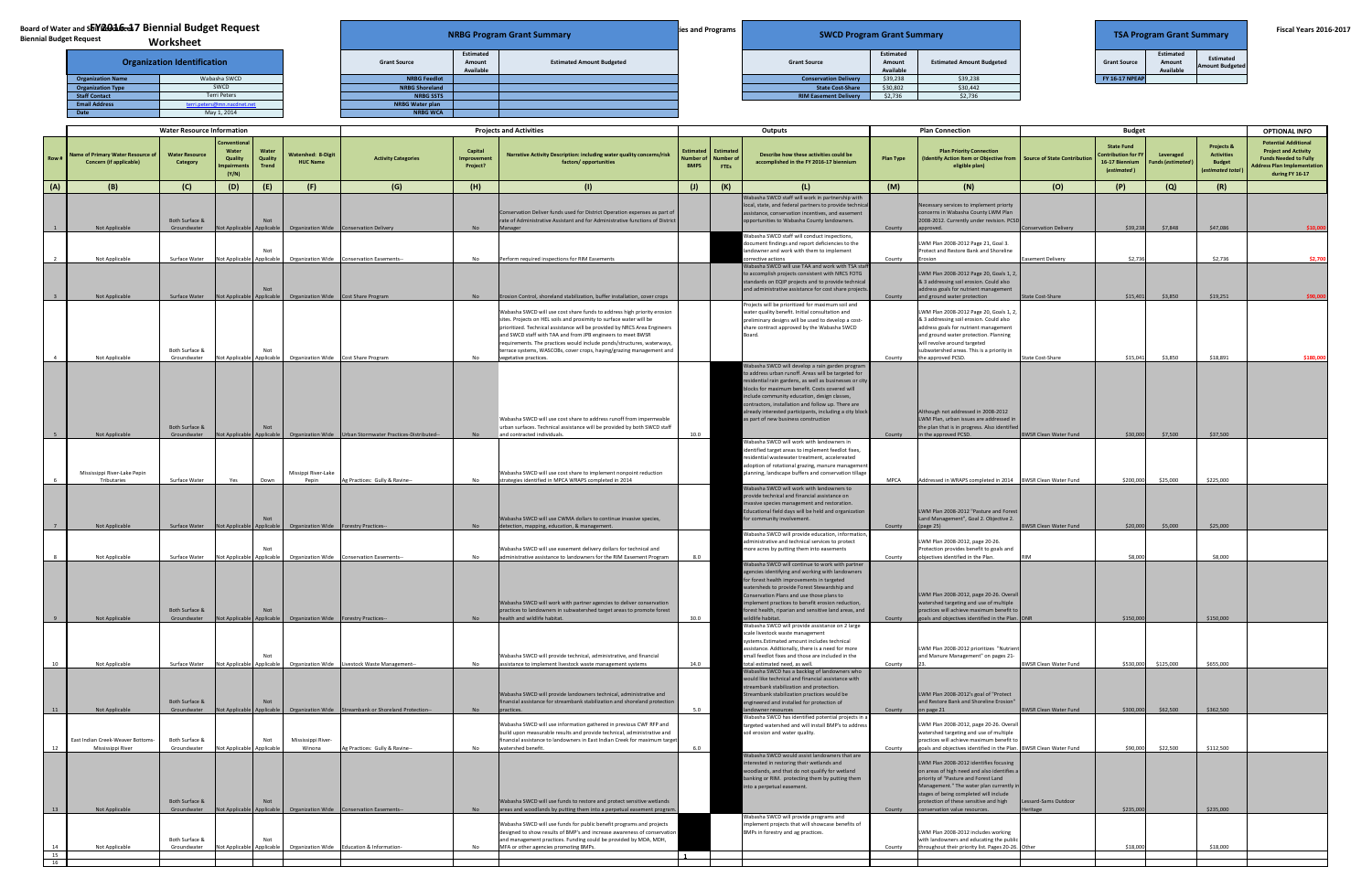|  |  | <b>Biennial Budget Request</b> |  |
|--|--|--------------------------------|--|
|--|--|--------------------------------|--|

|                       | <b>TSA Program Grant Summary</b>        |                                            |
|-----------------------|-----------------------------------------|--------------------------------------------|
| <b>Grant Source</b>   | Estimated<br>Amount<br><b>Available</b> | <b>Estimated</b><br><b>Amount Budgeted</b> |
| <b>FY 16-17 NPEAP</b> |                                         |                                            |

## **Board of Water and SbYR016cd7 Biennial Budget Request Worksheet**

| nd sbiYi2016-17 Biennial Budget Request<br><b>lequest</b><br>Worksheet |                             |  |                        |                                         | <b>NRBG Program Grant Summary</b> | lies and Programs | <b>SWCD Program Grant Summary</b> |                                  |                                  | <b>TSA Program Grant Summary</b> |                                  |                                     | <b>Fiscal Years 2016-2017</b> |
|------------------------------------------------------------------------|-----------------------------|--|------------------------|-----------------------------------------|-----------------------------------|-------------------|-----------------------------------|----------------------------------|----------------------------------|----------------------------------|----------------------------------|-------------------------------------|-------------------------------|
| <b>Organization Identification</b>                                     |                             |  | <b>Grant Source</b>    | <b>Estimated</b><br>Amount<br>Available | <b>Estimated Amount Budgeted</b>  |                   | <b>Grant Source</b>               | Estimated<br>Amount<br>Available | <b>Estimated Amount Budgeted</b> | <b>Grant Source</b>              | Estimated<br>Amount<br>Available | Estimated<br><b>Amount Budgeted</b> |                               |
| <b>Organization Name</b>                                               | Wabasha SWCD                |  | <b>NRBG Feedlot</b>    |                                         |                                   |                   | <b>Conservation Delivery</b>      | \$39,238                         | \$39,238                         | <b>FY 16-17 NPEAP</b>            |                                  |                                     |                               |
| <b>Organization Type</b>                                               | SWCD                        |  | <b>NRBG Shoreland</b>  |                                         |                                   |                   | <b>State Cost-Share</b>           | \$30,802                         | \$30,442                         |                                  |                                  |                                     |                               |
| <b>Staff Contact</b>                                                   | Terri Peters                |  | <b>NRBG SSTS</b>       |                                         |                                   |                   | <b>RIM Easement Delivery</b>      | \$2,736                          | \$2,736                          |                                  |                                  |                                     |                               |
| <b>Email Address</b>                                                   | terri.peters@mn.nacdnet.net |  | <b>NRBG Water plan</b> |                                         |                                   |                   |                                   |                                  |                                  |                                  |                                  |                                     |                               |
|                                                                        | May12014                    |  | NRRG WCA               |                                         |                                   |                   |                                   |                                  |                                  |                                  |                                  |                                     |                               |

| <b>Water Resource Information</b> |                                                                              |                                                | <b>Projects and Activities</b>          |                                  |                                                                                                                   | Outputs                                                                               |                                   |                                                                                                                                                                                                                                                                                                                                                                                                                                                                      | <b>Plan Connection</b>                   |                          | <b>Budget</b>                                                                                                                                                                                                                                                                                                                                                                                                           |                  |                                                                                                                                                                                                                                                                                                |                                     | <b>OPTIONAL INFO</b>                                                             |                                |                                                                       |                                                                                                                                                     |
|-----------------------------------|------------------------------------------------------------------------------|------------------------------------------------|-----------------------------------------|----------------------------------|-------------------------------------------------------------------------------------------------------------------|---------------------------------------------------------------------------------------|-----------------------------------|----------------------------------------------------------------------------------------------------------------------------------------------------------------------------------------------------------------------------------------------------------------------------------------------------------------------------------------------------------------------------------------------------------------------------------------------------------------------|------------------------------------------|--------------------------|-------------------------------------------------------------------------------------------------------------------------------------------------------------------------------------------------------------------------------------------------------------------------------------------------------------------------------------------------------------------------------------------------------------------------|------------------|------------------------------------------------------------------------------------------------------------------------------------------------------------------------------------------------------------------------------------------------------------------------------------------------|-------------------------------------|----------------------------------------------------------------------------------|--------------------------------|-----------------------------------------------------------------------|-----------------------------------------------------------------------------------------------------------------------------------------------------|
| Row #                             | <b>Name of Primary Water Resource of  </b><br><b>Concern (if applicable)</b> | <b>Water Resource</b><br>Category              | Water<br>Quality<br>mpairment:<br>(Y/N) | Water<br>Quality<br><b>Trend</b> | <b>Watershed: 8-Digit</b><br><b>HUC Name</b>                                                                      | <b>Activity Categories</b>                                                            | Capital<br>Improvemen<br>Project? | Narrative Activity Description: including water quality concerns/risk<br>factors/ opportunities                                                                                                                                                                                                                                                                                                                                                                      | <b>Estimated</b><br>umber<br><b>BMPS</b> | Estimated<br><b>FTEs</b> | Describe how these activities could be<br>accomplished in the FY 2016-17 biennium                                                                                                                                                                                                                                                                                                                                       | <b>Plan Type</b> | <b>Plan Priority Connection</b><br>(Identify Action Item or Objective from<br>eligible plan)                                                                                                                                                                                                   | <b>Source of State Contribution</b> | <b>State Fund</b><br><b>Contribution for FY</b><br>16-17 Biennium<br>(estimated) | Leveraged<br>Funds (estimated) | Projects &<br><b>Activities</b><br><b>Budget</b><br>(estimated total) | <b>Potential Additional</b><br><b>Project and Activity</b><br><b>Funds Needed to Fully</b><br><b>Address Plan Implementation</b><br>during FY 16-17 |
| (A)                               | (B)                                                                          | (C)                                            | (D)                                     | (E)                              | (F)                                                                                                               | (G)                                                                                   | (H)                               | (1)                                                                                                                                                                                                                                                                                                                                                                                                                                                                  | $\left( 1\right)$                        | (K)                      | (L)                                                                                                                                                                                                                                                                                                                                                                                                                     | (M)              | (N)                                                                                                                                                                                                                                                                                            | (O)                                 | (P)                                                                              | (Q)                            | (R)                                                                   |                                                                                                                                                     |
|                                   | Not Applicable                                                               | Both Surface &<br>Groundwater                  |                                         | Not                              | Not Applicable Applicable  Organization Wide  Conservation Delivery                                               |                                                                                       | N <sub>0</sub>                    | Conservation Deliver funds used for District Operation expenses as part of<br>rate of Administrative Assistant and for Administrative functions of Distric<br>Manager                                                                                                                                                                                                                                                                                                |                                          |                          | Wabasha SWCD staff will work in partnership with<br>local, state, and federal partners to provide technical<br>assistance, conservation incentives, and easement<br>pportunities to Wabasha County landowners.<br>Vabasha SWCD staff will conduct inspections,                                                                                                                                                          | County           | Necessary services to implement priorty<br>concerns in Wabasha County LWM Plan<br>2008-2012. Currently under revision. PCSD<br>approved                                                                                                                                                        | nservation Delivery                 | \$39,238                                                                         | \$7,848                        | \$47,086                                                              | \$10,000                                                                                                                                            |
|                                   | Not Applicable                                                               | Surface Water                                  |                                         | Not                              |                                                                                                                   | Not Applicable Applicable   Organization Wide   Conservation Easements-               | No.                               | Perform required inspections for RIM Easements                                                                                                                                                                                                                                                                                                                                                                                                                       |                                          |                          | locument findings and report deficiencies to the<br>andowner and work with them to implement<br>orrective actions                                                                                                                                                                                                                                                                                                       | County           | LWM Plan 2008-2012 Page 21, Goal 3.<br>Protect and Restore Bank and Shoreline<br>Frosion                                                                                                                                                                                                       | <b>Easement Delivery</b>            | \$2,736                                                                          |                                | \$2,736                                                               | \$2,700                                                                                                                                             |
|                                   | Not Applicable                                                               | Surface Water                                  | Not Applicable                          | Not                              | pplicable Organization Wide Cost Share Program                                                                    |                                                                                       | <b>No</b>                         | Erosion Control, shoreland stabilization, buffer installation, cover crops                                                                                                                                                                                                                                                                                                                                                                                           |                                          |                          | Nabasha SWCD will use TAA and work with TSA staf<br>to accomplish projects consistent with NRCS FOTG<br>standards on EQIP projects and to provide technical<br>and administrative assistance for cost share projects                                                                                                                                                                                                    | County           | LWM Plan 2008-2012 Page 20, Goals 1, 2,<br>& 3 addressing soil erosion. Could also<br>address goals for nutrient management<br>and ground water protection                                                                                                                                     | <b>State Cost-Share</b>             | \$15,401                                                                         | \$3,850                        | \$19,251                                                              |                                                                                                                                                     |
|                                   | Not Applicable                                                               | Both Surface &<br>Groundwater                  |                                         | Not                              | Not Applicable Applicable Organization Wide Cost Share Program                                                    |                                                                                       | No.                               | Wabasha SWCD will use cost share funds to address high priority erosion<br>sites. Projects on HEL soils and proximity to surface water will be<br>prioritized. Technical assistance will be provided by NRCS Area Engineers<br>and SWCD staff with TAA and from JPB engineers to meet BWSR<br>requirements. The practices would include ponds/structures, waterways,<br>terrace systems, WASCOBs, cover crops, haying/grazing management and<br>vegetative practices |                                          |                          | rojects will be prioritized for maximum soil and<br>water quality benefit. Initial consultation and<br>preliminary designs will be used to develop a cost-<br>share contract approved by the Wabasha SWCD<br>Board.                                                                                                                                                                                                     | County           | LWM Plan 2008-2012 Page 20, Goals 1, 2<br>& 3 addressing soil erosion. Could also<br>address goals for nutrient management<br>and ground water protection. Planning<br>will revolve around targeted<br>subwatershed areas. This is a priority in<br>the approved PCSD.                         | <b>State Cost-Share</b>             | \$15,041                                                                         | \$3,850                        | \$18,891                                                              | \$180,000                                                                                                                                           |
|                                   | Not Applicable                                                               | Both Surface &<br>Groundwater                  |                                         | Not                              |                                                                                                                   | Not Applicable Applicable  Organization Wide  Urban Stormwater Practices-Distributed- |                                   | Wabasha SWCD will use cost share to address runoff from impermeable<br>urban surfaces. Technical assistance will be provided by both SWCD staff<br>and contracted individuals.                                                                                                                                                                                                                                                                                       | 10.0                                     |                          | Vabasha SWCD will develop a rain garden program<br>o address urban runoff. Areas will be targeted for<br>esidential rain gardens, as well as businesses or city<br>blocks for maximum benefit. Costs covered will<br>nclude community education, design classes,<br>ontractors, installation and follow up. There are<br>Iready interested participants, including a city block<br>as part of new business construction | County           | Although not addressed in 2008-2012<br>LWM Plan, urban issues are addressed in<br>the plan that is in progress. Also identified<br>in the approved PCSD.                                                                                                                                       | <b>BWSR Clean Water Fund</b>        | \$30,000                                                                         | \$7,500                        | \$37,500                                                              |                                                                                                                                                     |
|                                   | Mississippi River-Lake Pepin<br>Tributaries                                  | Surface Water                                  | Yes                                     | Down                             | Missippi River-Lake<br>Pepin                                                                                      | g Practices: Gully & Ravine--                                                         | No.                               | Wabasha SWCD will use cost share to implement nonpoint reduction<br>strategies identified in MPCA WRAPS completed in 2014                                                                                                                                                                                                                                                                                                                                            |                                          |                          | Wabasha SWCD will work with landowners in<br>dentified target areas to implement feedlot fixes,<br>esidential wastewater treatment, accelereated<br>doption of rotational grazing, manure managemen<br>planning, landscape buffers and conservation tillage                                                                                                                                                             | <b>MPCA</b>      | Addressed in WRAPS completed in 2014 BWSR Clean Water Fund                                                                                                                                                                                                                                     |                                     | \$200,000                                                                        | \$25,000                       | \$225,000                                                             |                                                                                                                                                     |
|                                   | Not Applicable                                                               |                                                |                                         | Not                              | Surface Water    Not Applicable    Applicable    Crganization Wide    Forestry Practices--                        |                                                                                       | <b>No</b>                         | Wabasha SWCD will use CWMA dollars to continue invasive species,<br>detection, mapping, education, & management.                                                                                                                                                                                                                                                                                                                                                     |                                          |                          | <b>Nabasha SWCD will work with landowners to</b><br>provide technical and financial assistance on<br>nvasive species management and restoration.<br>ducational field days will be held and organization<br>or community involvement.                                                                                                                                                                                    | County           | LWM Plan 2008-2012 "Pasture and Forest<br>Land Management", Goal 2. Objective 2.<br>(page 25)                                                                                                                                                                                                  | <b>BWSR Clean Water Fund</b>        | \$20,000                                                                         | \$5,000                        | \$25,000                                                              |                                                                                                                                                     |
|                                   |                                                                              |                                                |                                         |                                  |                                                                                                                   |                                                                                       |                                   | Wabasha SWCD will use easement delivery dollars for technical and                                                                                                                                                                                                                                                                                                                                                                                                    |                                          |                          | Vabasha SWCD will provide education, information<br>dministrative and technical services to protect<br>nore acres by putting them into easements                                                                                                                                                                                                                                                                        |                  | LWM Plan 2008-2012, page 20-26.<br>Protection provides benefit to goals and                                                                                                                                                                                                                    |                                     |                                                                                  |                                |                                                                       |                                                                                                                                                     |
|                                   | Not Applicable<br>Not Applicable                                             | Surface Water<br>Both Surface &<br>Groundwater |                                         | Not                              | Not Applicable Applicable Organization Wide<br>Not Applicable Applicable   Organization Wide Forestry Practices-- | Conservation Easements--                                                              | N <sub>0</sub>                    | administrative assistance to landowners for the RIM Easement Program<br>Wabasha SWCD will work with partner agencies to deliver conservation<br>practices to landowners in subwatershed target areas to promote forest<br>health and wildlife habitat.                                                                                                                                                                                                               | 8.0<br>30.0                              |                          | Wabasha SWCD will continue to work with partner<br>gencies identifying and working with landowners<br>or forest health improvements in targeted<br>vatersheds to provide Forest Stewardship and<br>onservation Plans and use those plans to<br>nplement practices to benefit erosion reduction,<br>orest health, riparian and sensitive land areas, and<br>vildlife habitat.                                            | County<br>County | biectives identified in the Plan.<br>LWM Plan 2008-2012, page 20-26. Overall<br>watershed targeting and use of multiple<br>practices will achieve maximum benefit t<br>goals and objectives identified in the Plan. DNR                                                                        |                                     | \$8,000<br>\$150,000                                                             |                                | \$8,000<br>\$150,000                                                  |                                                                                                                                                     |
|                                   | Not Applicable                                                               | Surface Water                                  |                                         |                                  |                                                                                                                   | Not Applicable Applicable Organization Wide Livestock Waste Management-               | No.                               | Wabasha SWCD will provide technical, administrative, and financial<br>assistance to implement livestock waste management systems                                                                                                                                                                                                                                                                                                                                     | 14.0                                     |                          | Wabasha SWCD will provide assistance on 2 large<br>cale livestock waste management<br>ystems.Estimated amount includes technical<br>ssistance. Addtionally, there is a need for more<br>mall feedlot fixes and those are included in the<br>otal estimated need, as well.                                                                                                                                               | County           | LWM Plan 2008-2012 prioritizes "Nutrient<br>and Manure Management" on pages 21                                                                                                                                                                                                                 | <b>BWSR Clean Water Fund</b>        | \$530,000                                                                        | \$125,000                      | \$655,000                                                             |                                                                                                                                                     |
|                                   | Not Applicable                                                               | Both Surface &<br>Groundwater                  | Not Applicable Applicable               | Not                              |                                                                                                                   | Organization Wide Streambank or Shoreland Protection-                                 |                                   | Wabasha SWCD will provide landowners technical, administrative and<br>financial assistance for streambank stabilization and shoreland protection                                                                                                                                                                                                                                                                                                                     | 5.0                                      |                          | Wabasha SWCD has a backlog of landowners who<br>would like technical and financial assistance with<br>treambank stabilization and protection.<br>Streambank stabilization practices would be<br>engineered and installed for protection of<br>landowner resources                                                                                                                                                       | County           | LWM Plan 2008-2012's goal of "Protect<br>and Restore Bank and Shoreline Erosion"<br>on page 21                                                                                                                                                                                                 | <b>BWSR Clean Water Fund</b>        | \$300,000                                                                        | \$62,500                       | \$362,500                                                             |                                                                                                                                                     |
|                                   | East Indian Creek-Weaver Bottoms-<br>Mississippi River                       | Both Surface &<br>Groundwater                  | Not Applicable Applicable               | Not                              | Mississippi River-<br>Winona                                                                                      | Ag Practices: Gully & Ravine--                                                        | No.                               | Wabasha SWCD will use information gathered in previous CWF RFP and<br>build upon measurable results and provide technical, administrative and<br>financial assistance to landowners in East Indian Creek for maximum target<br>watershed benefit.                                                                                                                                                                                                                    | 6.0                                      |                          | Vabasha SWCD has identified potential projects in a<br>targeted watershed and will install BMP's to address<br>soil erosion and water quality.<br>Wabasha SWCD would assist landowners that are                                                                                                                                                                                                                         | County           | LWM Plan 2008-2012, page 20-26. Overal<br>watershed targeting and use of multiple<br>practices will achieve maximum benefit to<br>goals and objectives identified in the Plan. BWSR Clean Water Fund                                                                                           |                                     | \$90,000                                                                         | \$22,500                       | \$112,500                                                             |                                                                                                                                                     |
|                                   | Not Applicable                                                               | Both Surface &<br>Groundwater                  |                                         | Not                              |                                                                                                                   | Not Applicable Applicable  Organization Wide  Conservation Easements--                | <b>No</b>                         | Wabasha SWCD will use funds to restore and protect sensitive wetlands                                                                                                                                                                                                                                                                                                                                                                                                |                                          |                          | nterested in restoring their wetlands and<br>voodlands, and that do not qualify for wetland<br>banking or RIM. protecting them by putting them<br>nto a perpetual easement.                                                                                                                                                                                                                                             | County           | LWM Plan 2008-2012 identifies focusing<br>on areas of high need and also identifies a<br>priority of "Pasture and Forest Land<br>Management." The water plan currently in<br>stages of being completed will include<br>protection of these sensitive and high<br>conservation value resources. | Lessard-Sams Outdoor<br>eritage     | \$235,000                                                                        |                                | \$235,000                                                             |                                                                                                                                                     |
| 14                                | Not Applicable                                                               | Both Surface &<br>Groundwater                  |                                         | Not                              | Not Applicable Applicable Organization Wide                                                                       | Education & Information-                                                              | N <sub>0</sub>                    | areas and woodlands by putting them into a perpetual easement program.<br>Wabasha SWCD will use funds for public benefit programs and projects<br>designed to show results of BMP's and increase awareness of conservation<br>and management practices. Funding could be provided by MDA, MDH,<br>MFA or other agencies promoting BMPs.                                                                                                                              |                                          |                          | Wabasha SWCD will provide programs and<br>mplement projects that will showcase benefits of<br>BMPs in forestry and ag practices.                                                                                                                                                                                                                                                                                        | County           | LWM Plan 2008-2012 includes working<br>with landowners and educating the public<br>throughout their priority list. Pages 20-26. Other                                                                                                                                                          |                                     | \$18,000                                                                         |                                | \$18,000                                                              |                                                                                                                                                     |
| 15                                |                                                                              |                                                |                                         |                                  |                                                                                                                   |                                                                                       |                                   |                                                                                                                                                                                                                                                                                                                                                                                                                                                                      |                                          |                          |                                                                                                                                                                                                                                                                                                                                                                                                                         |                  |                                                                                                                                                                                                                                                                                                |                                     |                                                                                  |                                |                                                                       |                                                                                                                                                     |
| 16                                |                                                                              |                                                |                                         |                                  |                                                                                                                   |                                                                                       |                                   |                                                                                                                                                                                                                                                                                                                                                                                                                                                                      |                                          |                          |                                                                                                                                                                                                                                                                                                                                                                                                                         |                  |                                                                                                                                                                                                                                                                                                |                                     |                                                                                  |                                |                                                                       |                                                                                                                                                     |



|                          | worksneet                          |                        |
|--------------------------|------------------------------------|------------------------|
|                          | <b>Organization Identification</b> | <b>Grant Source</b>    |
| <b>Organization Name</b> | Wabasha SWCD                       | <b>NRBG Feedlot</b>    |
| <b>Organization Type</b> | <b>SWCD</b>                        | <b>NRBG Shoreland</b>  |
| <b>Staff Contact</b>     | <b>Terri Peters</b>                | <b>NRBG SSTS</b>       |
| <b>Email Address</b>     | terri.peters@mn.nacdnet.net        | <b>NRBG Water plan</b> |
| <b>Date</b>              | May 1, 2014                        | <b>NRBG WCA</b>        |